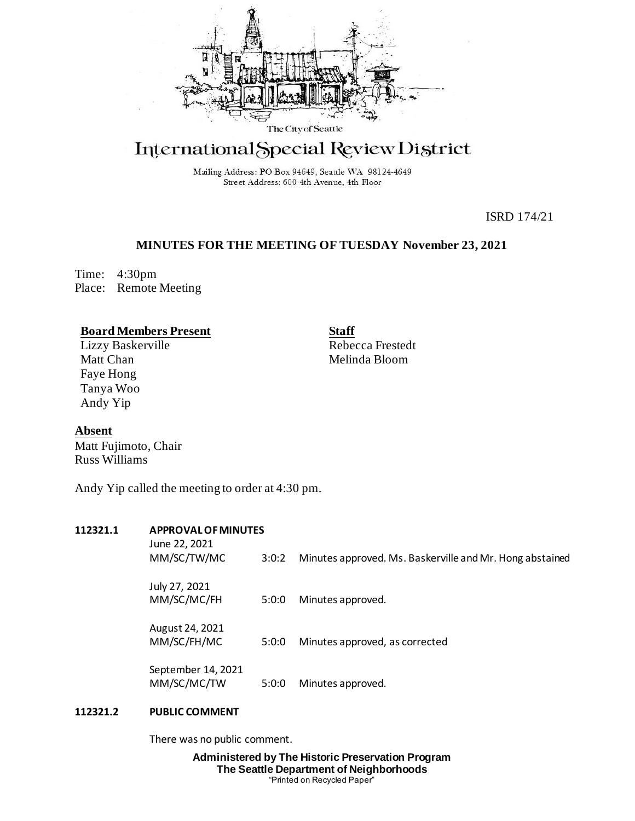

# International Special Review District

Mailing Address: PO Box 94649, Seattle WA 98124-4649 Street Address: 600 4th Avenue, 4th Floor

ISRD 174/21

## **MINUTES FOR THE MEETING OF TUESDAY November 23, 2021**

Time: 4:30pm Place: Remote Meeting

### **Board Members Present**

Lizzy Baskerville Matt Chan Faye Hong Tanya Woo Andy Yip

**Staff** Rebecca Frestedt Melinda Bloom

**Absent**

Matt Fujimoto, Chair Russ Williams

Andy Yip called the meeting to order at 4:30 pm.

# **112321.1 APPROVAL OF MINUTES**

| June 22, 2021<br>MM/SC/TW/MC      | 3:0:2 | Minutes approved. Ms. Baskerville and Mr. Hong abstained |
|-----------------------------------|-------|----------------------------------------------------------|
| July 27, 2021<br>MM/SC/MC/FH      | 5:0:0 | Minutes approved.                                        |
| August 24, 2021<br>MM/SC/FH/MC    | 5:0:0 | Minutes approved, as corrected                           |
| September 14, 2021<br>MM/SC/MC/TW | 5:0:0 | Minutes approved.                                        |

### **112321.2 PUBLIC COMMENT**

There was no public comment.

**Administered by The Historic Preservation Program The Seattle Department of Neighborhoods** "Printed on Recycled Paper"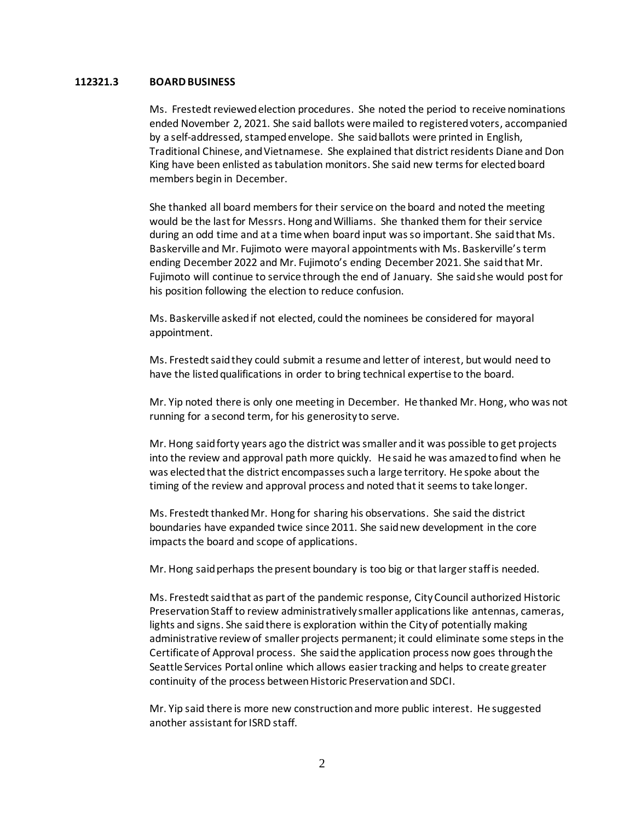#### **112321.3 BOARD BUSINESS**

Ms. Frestedt reviewed election procedures. She noted the period to receive nominations ended November 2, 2021. She said ballots were mailed to registered voters, accompanied by a self-addressed, stamped envelope. She said ballots were printed in English, Traditional Chinese, and Vietnamese. She explained that district residents Diane and Don King have been enlisted as tabulation monitors. She said new terms for elected board members begin in December.

She thanked all board members for their service on the board and noted the meeting would be the last for Messrs. Hong and Williams. She thanked them for their service during an odd time and at a time when board input was so important. She said that Ms. Baskerville and Mr. Fujimoto were mayoral appointments with Ms. Baskerville's term ending December 2022 and Mr. Fujimoto's ending December 2021. She said that Mr. Fujimoto will continue to service through the end of January. She said she would post for his position following the election to reduce confusion.

Ms. Baskerville asked if not elected, could the nominees be considered for mayoral appointment.

Ms. Frestedt said they could submit a resume and letter of interest, but would need to have the listed qualifications in order to bring technical expertise to the board.

Mr. Yip noted there is only one meeting in December. He thanked Mr. Hong, who was not running for a second term, for his generosity to serve.

Mr. Hong said forty years ago the district was smaller and it was possible to get projects into the review and approval path more quickly. He said he was amazed to find when he was elected that the district encompasses such a large territory. He spoke about the timing of the review and approval process and noted that it seems to take longer.

Ms. Frestedt thanked Mr. Hong for sharing his observations. She said the district boundaries have expanded twice since 2011. She said new development in the core impacts the board and scope of applications.

Mr. Hong said perhaps the present boundary is too big or that larger staff is needed.

Ms. Frestedt said that as part of the pandemic response, City Council authorized Historic Preservation Staff to review administratively smaller applications like antennas, cameras, lights and signs. She said there is exploration within the City of potentially making administrative review of smaller projects permanent; it could eliminate some steps in the Certificate of Approval process. She said the application process now goes through the Seattle Services Portal online which allows easier tracking and helps to create greater continuity of the process between Historic Preservation and SDCI.

Mr. Yip said there is more new construction and more public interest. He suggested another assistant for ISRD staff.